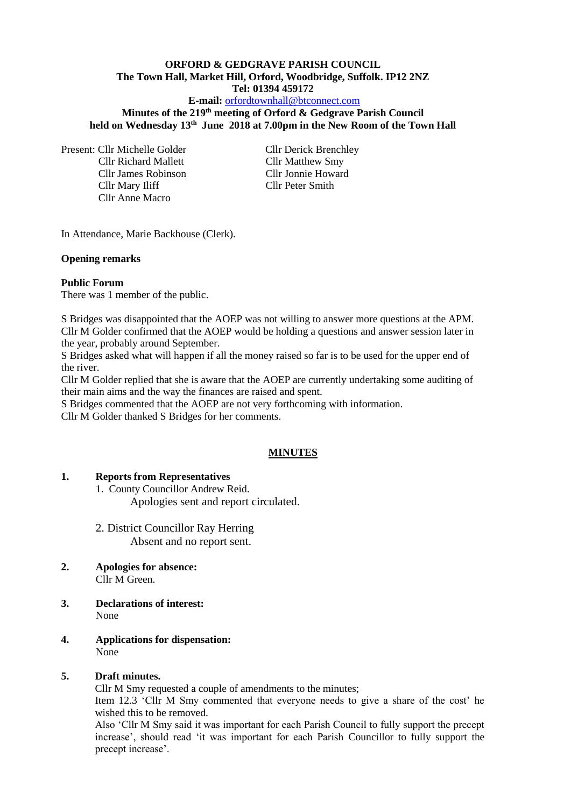# **ORFORD & GEDGRAVE PARISH COUNCIL The Town Hall, Market Hill, Orford, Woodbridge, Suffolk. IP12 2NZ Tel: 01394 459172**

# **E-mail:** [orfordtownhall@btconnect.com](mailto:orfordtownhall@btconnect.com)

**Minutes of the 219 th meeting of Orford & Gedgrave Parish Council held on Wednesday 13th June 2018 at 7.00pm in the New Room of the Town Hall**

Present: Cllr Michelle Golder Cllr Derick Brenchley Cllr Richard Mallett Cllr Matthew Smy Cllr James Robinson Cllr Jonnie Howard Cllr Mary Iliff Cllr Peter Smith Cllr Anne Macro

In Attendance, Marie Backhouse (Clerk).

#### **Opening remarks**

#### **Public Forum**

There was 1 member of the public.

S Bridges was disappointed that the AOEP was not willing to answer more questions at the APM. Cllr M Golder confirmed that the AOEP would be holding a questions and answer session later in the year, probably around September.

S Bridges asked what will happen if all the money raised so far is to be used for the upper end of the river.

Cllr M Golder replied that she is aware that the AOEP are currently undertaking some auditing of their main aims and the way the finances are raised and spent.

S Bridges commented that the AOEP are not very forthcoming with information.

Cllr M Golder thanked S Bridges for her comments.

#### **MINUTES**

#### **1. Reports from Representatives**

1. County Councillor Andrew Reid. Apologies sent and report circulated.

- 2. District Councillor Ray Herring Absent and no report sent.
- **2. Apologies for absence:** Cllr M Green.
- **3. Declarations of interest:** None
- **4. Applications for dispensation:** None

## **5. Draft minutes.**

Cllr M Smy requested a couple of amendments to the minutes;

Item 12.3 'Cllr M Smy commented that everyone needs to give a share of the cost' he wished this to be removed.

Also 'Cllr M Smy said it was important for each Parish Council to fully support the precept increase', should read 'it was important for each Parish Councillor to fully support the precept increase'.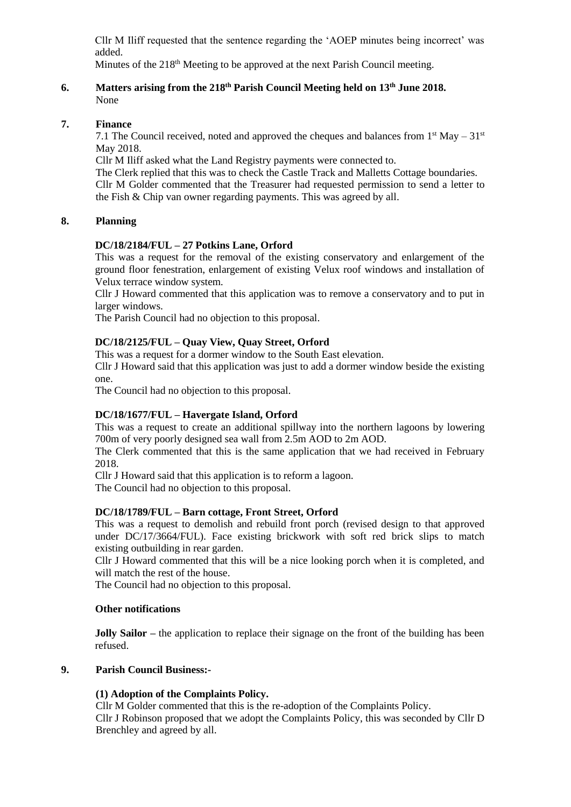Cllr M Iliff requested that the sentence regarding the 'AOEP minutes being incorrect' was added.

Minutes of the 218<sup>th</sup> Meeting to be approved at the next Parish Council meeting.

## **6. Matters arising from the 218 th Parish Council Meeting held on 13th June 2018.** None

# **7. Finance**

7.1 The Council received, noted and approved the cheques and balances from  $1<sup>st</sup>$  May –  $31<sup>st</sup>$ May 2018.

Cllr M Iliff asked what the Land Registry payments were connected to.

The Clerk replied that this was to check the Castle Track and Malletts Cottage boundaries. Cllr M Golder commented that the Treasurer had requested permission to send a letter to the Fish & Chip van owner regarding payments. This was agreed by all.

# **8. Planning**

# **DC/18/2184/FUL – 27 Potkins Lane, Orford**

This was a request for the removal of the existing conservatory and enlargement of the ground floor fenestration, enlargement of existing Velux roof windows and installation of Velux terrace window system.

Cllr J Howard commented that this application was to remove a conservatory and to put in larger windows.

The Parish Council had no objection to this proposal.

# **DC/18/2125/FUL – Quay View, Quay Street, Orford**

This was a request for a dormer window to the South East elevation.

Cllr J Howard said that this application was just to add a dormer window beside the existing one.

The Council had no objection to this proposal.

### **DC/18/1677/FUL – Havergate Island, Orford**

This was a request to create an additional spillway into the northern lagoons by lowering 700m of very poorly designed sea wall from 2.5m AOD to 2m AOD.

The Clerk commented that this is the same application that we had received in February 2018.

Cllr J Howard said that this application is to reform a lagoon.

The Council had no objection to this proposal.

### **DC/18/1789/FUL – Barn cottage, Front Street, Orford**

This was a request to demolish and rebuild front porch (revised design to that approved under DC/17/3664/FUL). Face existing brickwork with soft red brick slips to match existing outbuilding in rear garden.

Cllr J Howard commented that this will be a nice looking porch when it is completed, and will match the rest of the house.

The Council had no objection to this proposal.

### **Other notifications**

**Jolly Sailor** – the application to replace their signage on the front of the building has been refused.

# **9. Parish Council Business:-**

### **(1) Adoption of the Complaints Policy.**

Cllr M Golder commented that this is the re-adoption of the Complaints Policy. Cllr J Robinson proposed that we adopt the Complaints Policy, this was seconded by Cllr D Brenchley and agreed by all.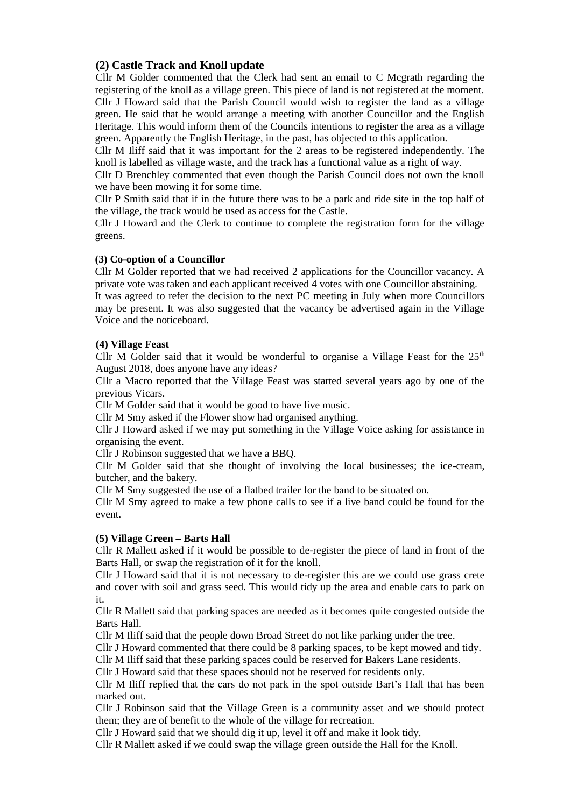# **(2) Castle Track and Knoll update**

Cllr M Golder commented that the Clerk had sent an email to C Mcgrath regarding the registering of the knoll as a village green. This piece of land is not registered at the moment. Cllr J Howard said that the Parish Council would wish to register the land as a village green. He said that he would arrange a meeting with another Councillor and the English Heritage. This would inform them of the Councils intentions to register the area as a village green. Apparently the English Heritage, in the past, has objected to this application.

Cllr M Iliff said that it was important for the 2 areas to be registered independently. The knoll is labelled as village waste, and the track has a functional value as a right of way.

Cllr D Brenchley commented that even though the Parish Council does not own the knoll we have been mowing it for some time.

Cllr P Smith said that if in the future there was to be a park and ride site in the top half of the village, the track would be used as access for the Castle.

Cllr J Howard and the Clerk to continue to complete the registration form for the village greens.

### **(3) Co-option of a Councillor**

Cllr M Golder reported that we had received 2 applications for the Councillor vacancy. A private vote was taken and each applicant received 4 votes with one Councillor abstaining.

It was agreed to refer the decision to the next PC meeting in July when more Councillors may be present. It was also suggested that the vacancy be advertised again in the Village Voice and the noticeboard.

#### **(4) Village Feast**

Cllr M Golder said that it would be wonderful to organise a Village Feast for the  $25<sup>th</sup>$ August 2018, does anyone have any ideas?

Cllr a Macro reported that the Village Feast was started several years ago by one of the previous Vicars.

Cllr M Golder said that it would be good to have live music.

Cllr M Smy asked if the Flower show had organised anything.

Cllr J Howard asked if we may put something in the Village Voice asking for assistance in organising the event.

Cllr J Robinson suggested that we have a BBQ.

Cllr M Golder said that she thought of involving the local businesses; the ice-cream, butcher, and the bakery.

Cllr M Smy suggested the use of a flatbed trailer for the band to be situated on.

Cllr M Smy agreed to make a few phone calls to see if a live band could be found for the event.

#### **(5) Village Green – Barts Hall**

Cllr R Mallett asked if it would be possible to de-register the piece of land in front of the Barts Hall, or swap the registration of it for the knoll.

Cllr J Howard said that it is not necessary to de-register this are we could use grass crete and cover with soil and grass seed. This would tidy up the area and enable cars to park on it.

Cllr R Mallett said that parking spaces are needed as it becomes quite congested outside the Barts Hall.

Cllr M Iliff said that the people down Broad Street do not like parking under the tree.

Cllr J Howard commented that there could be 8 parking spaces, to be kept mowed and tidy.

Cllr M Iliff said that these parking spaces could be reserved for Bakers Lane residents.

Cllr J Howard said that these spaces should not be reserved for residents only.

Cllr M Iliff replied that the cars do not park in the spot outside Bart's Hall that has been marked out.

Cllr J Robinson said that the Village Green is a community asset and we should protect them; they are of benefit to the whole of the village for recreation.

Cllr J Howard said that we should dig it up, level it off and make it look tidy.

Cllr R Mallett asked if we could swap the village green outside the Hall for the Knoll.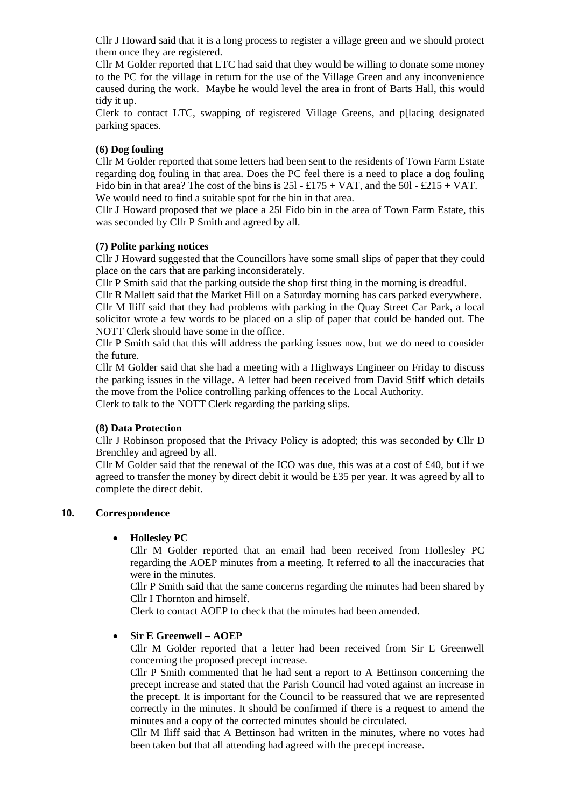Cllr J Howard said that it is a long process to register a village green and we should protect them once they are registered.

Cllr M Golder reported that LTC had said that they would be willing to donate some money to the PC for the village in return for the use of the Village Green and any inconvenience caused during the work. Maybe he would level the area in front of Barts Hall, this would tidy it up.

Clerk to contact LTC, swapping of registered Village Greens, and p[lacing designated parking spaces.

### **(6) Dog fouling**

Cllr M Golder reported that some letters had been sent to the residents of Town Farm Estate regarding dog fouling in that area. Does the PC feel there is a need to place a dog fouling Fido bin in that area? The cost of the bins is  $25l - \pounds175 + \text{VAT}$ , and the  $50l - \pounds215 + \text{VAT}$ . We would need to find a suitable spot for the bin in that area.

Cllr J Howard proposed that we place a 25l Fido bin in the area of Town Farm Estate, this was seconded by Cllr P Smith and agreed by all.

### **(7) Polite parking notices**

Cllr J Howard suggested that the Councillors have some small slips of paper that they could place on the cars that are parking inconsiderately.

Cllr P Smith said that the parking outside the shop first thing in the morning is dreadful.

Cllr R Mallett said that the Market Hill on a Saturday morning has cars parked everywhere.

Cllr M Iliff said that they had problems with parking in the Quay Street Car Park, a local solicitor wrote a few words to be placed on a slip of paper that could be handed out. The NOTT Clerk should have some in the office.

Cllr P Smith said that this will address the parking issues now, but we do need to consider the future.

Cllr M Golder said that she had a meeting with a Highways Engineer on Friday to discuss the parking issues in the village. A letter had been received from David Stiff which details the move from the Police controlling parking offences to the Local Authority.

Clerk to talk to the NOTT Clerk regarding the parking slips.

### **(8) Data Protection**

Cllr J Robinson proposed that the Privacy Policy is adopted; this was seconded by Cllr D Brenchley and agreed by all.

Cllr M Golder said that the renewal of the ICO was due, this was at a cost of £40, but if we agreed to transfer the money by direct debit it would be £35 per year. It was agreed by all to complete the direct debit.

### **10. Correspondence**

# • **Hollesley PC**

Cllr M Golder reported that an email had been received from Hollesley PC regarding the AOEP minutes from a meeting. It referred to all the inaccuracies that were in the minutes.

Cllr P Smith said that the same concerns regarding the minutes had been shared by Cllr I Thornton and himself.

Clerk to contact AOEP to check that the minutes had been amended.

### • **Sir E Greenwell – AOEP**

Cllr M Golder reported that a letter had been received from Sir E Greenwell concerning the proposed precept increase.

Cllr P Smith commented that he had sent a report to A Bettinson concerning the precept increase and stated that the Parish Council had voted against an increase in the precept. It is important for the Council to be reassured that we are represented correctly in the minutes. It should be confirmed if there is a request to amend the minutes and a copy of the corrected minutes should be circulated.

Cllr M Iliff said that A Bettinson had written in the minutes, where no votes had been taken but that all attending had agreed with the precept increase.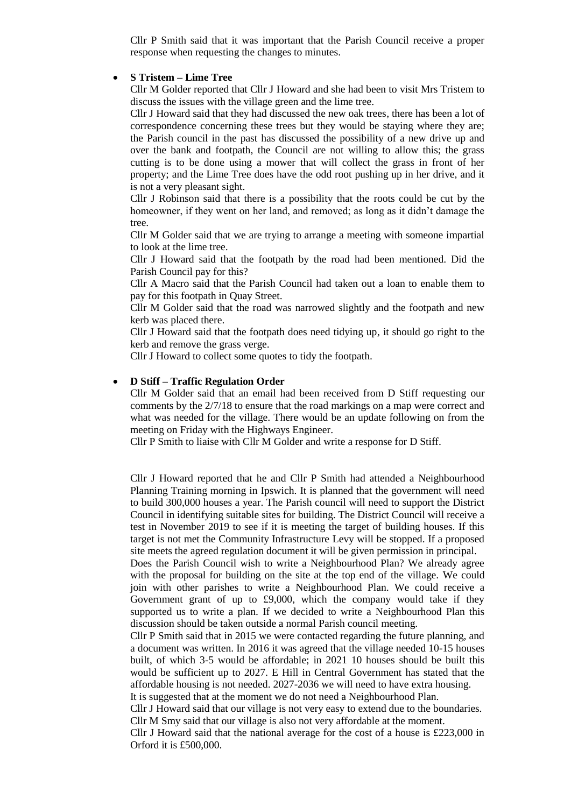Cllr P Smith said that it was important that the Parish Council receive a proper response when requesting the changes to minutes.

#### • **S Tristem – Lime Tree**

Cllr M Golder reported that Cllr J Howard and she had been to visit Mrs Tristem to discuss the issues with the village green and the lime tree.

Cllr J Howard said that they had discussed the new oak trees, there has been a lot of correspondence concerning these trees but they would be staying where they are; the Parish council in the past has discussed the possibility of a new drive up and over the bank and footpath, the Council are not willing to allow this; the grass cutting is to be done using a mower that will collect the grass in front of her property; and the Lime Tree does have the odd root pushing up in her drive, and it is not a very pleasant sight.

Cllr J Robinson said that there is a possibility that the roots could be cut by the homeowner, if they went on her land, and removed; as long as it didn't damage the tree.

Cllr M Golder said that we are trying to arrange a meeting with someone impartial to look at the lime tree.

Cllr J Howard said that the footpath by the road had been mentioned. Did the Parish Council pay for this?

Cllr A Macro said that the Parish Council had taken out a loan to enable them to pay for this footpath in Quay Street.

Cllr M Golder said that the road was narrowed slightly and the footpath and new kerb was placed there.

Cllr J Howard said that the footpath does need tidying up, it should go right to the kerb and remove the grass verge.

Cllr J Howard to collect some quotes to tidy the footpath.

#### • **D Stiff – Traffic Regulation Order**

Cllr M Golder said that an email had been received from D Stiff requesting our comments by the 2/7/18 to ensure that the road markings on a map were correct and what was needed for the village. There would be an update following on from the meeting on Friday with the Highways Engineer.

Cllr P Smith to liaise with Cllr M Golder and write a response for D Stiff.

Cllr J Howard reported that he and Cllr P Smith had attended a Neighbourhood Planning Training morning in Ipswich. It is planned that the government will need to build 300,000 houses a year. The Parish council will need to support the District Council in identifying suitable sites for building. The District Council will receive a test in November 2019 to see if it is meeting the target of building houses. If this target is not met the Community Infrastructure Levy will be stopped. If a proposed site meets the agreed regulation document it will be given permission in principal.

Does the Parish Council wish to write a Neighbourhood Plan? We already agree with the proposal for building on the site at the top end of the village. We could join with other parishes to write a Neighbourhood Plan. We could receive a Government grant of up to £9,000, which the company would take if they supported us to write a plan. If we decided to write a Neighbourhood Plan this discussion should be taken outside a normal Parish council meeting.

Cllr P Smith said that in 2015 we were contacted regarding the future planning, and a document was written. In 2016 it was agreed that the village needed 10-15 houses built, of which 3-5 would be affordable; in 2021 10 houses should be built this would be sufficient up to 2027. E Hill in Central Government has stated that the affordable housing is not needed. 2027-2036 we will need to have extra housing. It is suggested that at the moment we do not need a Neighbourhood Plan.

Cllr J Howard said that our village is not very easy to extend due to the boundaries.

Cllr M Smy said that our village is also not very affordable at the moment.

Cllr J Howard said that the national average for the cost of a house is £223,000 in Orford it is £500,000.